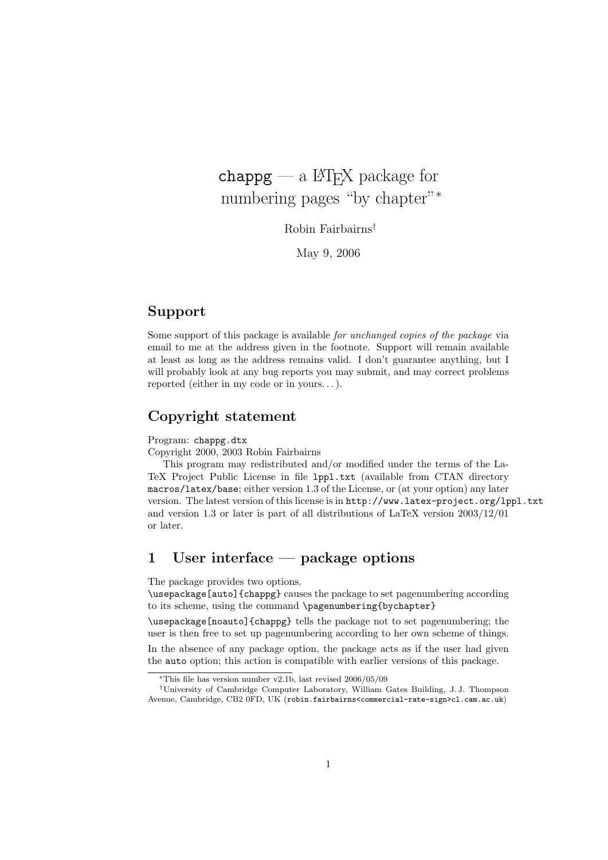# $chappg - a$  LAT<sub>EX</sub> package for numbering pages "by chapter"<sup>∗</sup>

Robin Fairbairns†

May 9, 2006

# **Support**

Some support of this package is available *for unchanged copies of the package* via email to me at the address given in the footnote. Support will remain available at least as long as the address remains valid. I don't guarantee anything, but I will probably look at any bug reports you may submit, and may correct problems reported (either in my code or in yours. . . ).

### **Copyright statement**

#### Program: chappg.dtx

Copyright 2000, 2003 Robin Fairbairns

This program may redistributed and/or modified under the terms of the La-TeX Project Public License in file lppl.txt (available from CTAN directory macros/latex/base; either version 1.3 of the License, or (at your option) any later version. The latest version of this license is in http://www.latex-project.org/lppl.txt and version 1.3 or later is part of all distributions of LaTeX version 2003/12/01 or later.

# **1 User interface — package options**

The package provides two options.

\usepackage[auto]{chappg} causes the package to set pagenumbering according to its scheme, using the command \pagenumbering{bychapter}

\usepackage[noauto]{chappg} tells the package not to set pagenumbering; the user is then free to set up pagenumbering according to her own scheme of things.

In the absence of any package option, the package acts as if the user had given the auto option; this action is compatible with earlier versions of this package.

<sup>∗</sup>This file has version number v2.1b, last revised 2006/05/09

<sup>†</sup>University of Cambridge Computer Laboratory, William Gates Building, J. J. Thompson Avenue, Cambridge, CB2 0FD, UK (robin.fairbairns<commercial-rate-sign>cl.cam.ac.uk)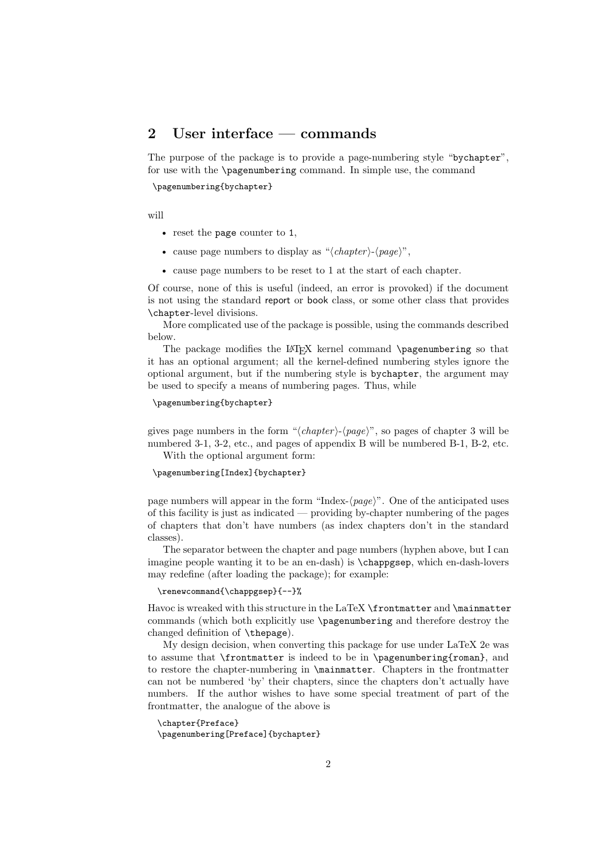# **2 User interface — commands**

The purpose of the package is to provide a page-numbering style "bychapter", for use with the \pagenumbering command. In simple use, the command

\pagenumbering{bychapter}

will

- reset the page counter to 1,
- cause page numbers to display as " $\langle chapter \rangle$ - $\langle page \rangle$ ",
- cause page numbers to be reset to 1 at the start of each chapter.

Of course, none of this is useful (indeed, an error is provoked) if the document is not using the standard report or book class, or some other class that provides \chapter-level divisions.

More complicated use of the package is possible, using the commands described below.

The package modifies the LATEX kernel command \pagenumbering so that it has an optional argument; all the kernel-defined numbering styles ignore the optional argument, but if the numbering style is bychapter, the argument may be used to specify a means of numbering pages. Thus, while

```
\pagenumbering{bychapter}
```
gives page numbers in the form " $\langle chapter \rangle$ - $\langle page \rangle$ ", so pages of chapter 3 will be numbered 3-1, 3-2, etc., and pages of appendix B will be numbered B-1, B-2, etc. With the optional argument form:

\pagenumbering[Index]{bychapter}

page numbers will appear in the form "Index- $\langle page \rangle$ ". One of the anticipated uses of this facility is just as indicated — providing by-chapter numbering of the pages of chapters that don't have numbers (as index chapters don't in the standard classes).

The separator between the chapter and page numbers (hyphen above, but I can imagine people wanting it to be an en-dash) is \chappgsep, which en-dash-lovers may redefine (after loading the package); for example:

#### \renewcommand{\chappgsep}{--}%

Havoc is wreaked with this structure in the LaTeX \frontmatter and \mainmatter commands (which both explicitly use \pagenumbering and therefore destroy the changed definition of \thepage).

My design decision, when converting this package for use under LaTeX 2e was to assume that \frontmatter is indeed to be in \pagenumbering{roman}, and to restore the chapter-numbering in \mainmatter. Chapters in the frontmatter can not be numbered 'by' their chapters, since the chapters don't actually have numbers. If the author wishes to have some special treatment of part of the frontmatter, the analogue of the above is

```
\chapter{Preface}
\pagenumbering[Preface]{bychapter}
```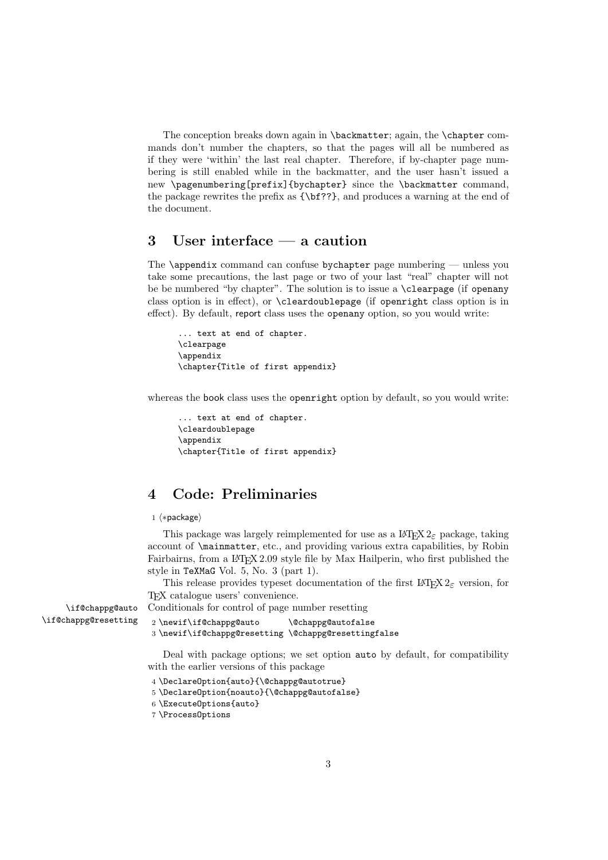The conception breaks down again in **\backmatter**; again, the **\chapter** commands don't number the chapters, so that the pages will all be numbered as if they were 'within' the last real chapter. Therefore, if by-chapter page numbering is still enabled while in the backmatter, and the user hasn't issued a new \pagenumbering[prefix]{bychapter} since the \backmatter command, the package rewrites the prefix as {\bf??}, and produces a warning at the end of the document.

# **3 User interface — a caution**

The \appendix command can confuse by chapter page numbering — unless you take some precautions, the last page or two of your last "real" chapter will not be be numbered "by chapter". The solution is to issue a \clearpage (if openany class option is in effect), or \cleardoublepage (if openright class option is in effect). By default, report class uses the openany option, so you would write:

```
... text at end of chapter.
\clearpage
\appendix
\chapter{Title of first appendix}
```
whereas the book class uses the openright option by default, so you would write:

```
... text at end of chapter.
\cleardoublepage
\appendix
\chapter{Title of first appendix}
```
# **4 Code: Preliminaries**

#### 1 (\*package)

This package was largely reimplemented for use as a  $\text{LATEX} 2_{\epsilon}$  package, taking account of \mainmatter, etc., and providing various extra capabilities, by Robin Fairbairns, from a LATEX 2.09 style file by Max Hailperin, who first published the style in TeXMaG Vol. 5, No. 3 (part 1).

This release provides typeset documentation of the first LATEX  $2\varepsilon$  version, for TEX catalogue users' convenience.

\if@chappg@auto \if@chappg@resetting

```
3 \newif\if@chappg@resetting \@chappg@resettingfalse
```
Deal with package options; we set option auto by default, for compatibility with the earlier versions of this package

```
4 \DeclareOption{auto}{\@chappg@autotrue}
```
5 \DeclareOption{noauto}{\@chappg@autofalse}

Conditionals for control of page number resetting 2 \newif\if@chappg@auto \@chappg@autofalse

```
6 \ExecuteOptions{auto}
```
7 \ProcessOptions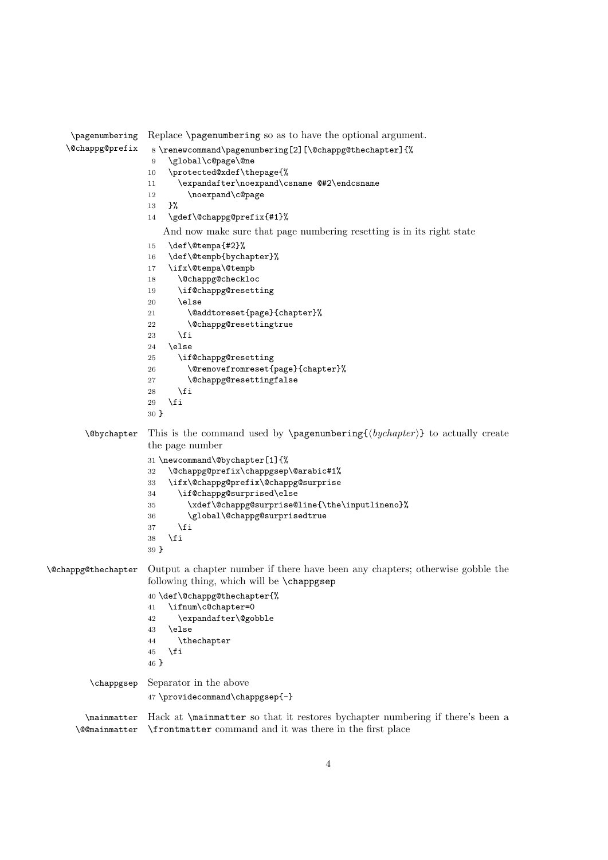```
\pagenumbering
   \@chappg@prefix
                     Replace \pagenumbering so as to have the optional argument.
                      8 \renewcommand\pagenumbering[2][\@chappg@thechapter]{%
                      9 \global\c@page\@ne
                     10 \protected@xdef\thepage{%
                     11 \expandafter\noexpand\csname @#2\endcsname
                     12 \noexpand\c@page
                     13 }%
                     14 \gdef\@chappg@prefix{#1}%
                        And now make sure that page numbering resetting is in its right state
                     15 \def\@tempa{#2}%
                     16 \def\@tempb{bychapter}%
                     17 \ifx\@tempa\@tempb
                     18 \@chappg@checkloc
                     19 \if@chappg@resetting
                     20 \qquad \text{leless}21 \@addtoreset{page}{chapter}%
                     22 \@chappg@resettingtrue
                     23 \ifmmode{\big\vert} \else{ 123 \fi 123
                     24 \else
                     25 \if@chappg@resetting
                     26 \@removefromreset{page}{chapter}%
                     27 \@chappg@resettingfalse
                     28 \setminusfi
                     29 \setminusfi
                     30 }
        \Phi This is the command used by \text{log}(\frac{\text{by} \cdot \text{haper}}{\text{bsymbol}}) to actually create
                     the page number
                     31 \newcommand\@bychapter[1]{%
                     32 \@chappg@prefix\chappgsep\@arabic#1%
                     33 \ifx\@chappg@prefix\@chappg@surprise
                     34 \if@chappg@surprised\else
                     35 \xdef\@chappg@surprise@line{\the\inputlineno}%
                     36 \global\@chappg@surprisedtrue
                     37 \fi
                     38 \fi
                     39 }
\@chappg@thechapter Output a chapter number if there have been any chapters; otherwise gobble the
                     following thing, which will be \chappgsep
                     40 \def\@chappg@thechapter{%
                     41 \ifnum\c@chapter=0
                     42 \expandafter\@gobble
                     43 \else
                     44 \thechapter
                     45 \fi
                     46 }
        \chappgsep Separator in the above
                     47 \providecommand\chappgsep{-}
        \mainmatter
Hack at \mainmatter so that it restores bychapter numbering if there's been a
      \@@mainmatter
\frontmatter command and it was there in the first place
```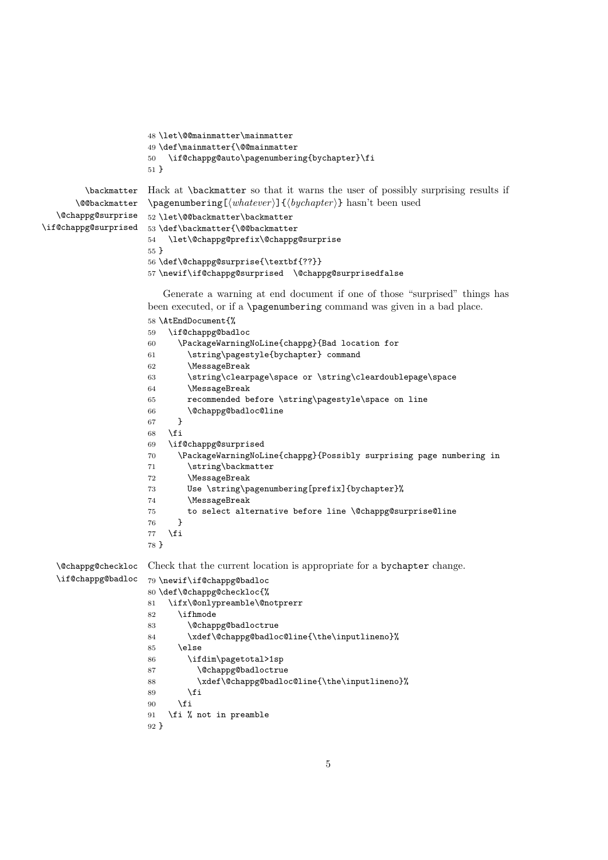```
48 \let\@@mainmatter\mainmatter
                     49 \def\mainmatter{\@@mainmatter
                     50 \if@chappg@auto\pagenumbering{bychapter}\fi
                     51 }
         \backmatter
Hack at \backmatter so that it warns the user of possibly surprising results if
      \@@backmatter
   \@chappg@surprise
\if@chappg@surprised
                     \pagenumbering[\whatever}]{\bychapter}} hasn't been used
                     52 \let\@@backmatter\backmatter
                     53 \def\backmatter{\@@backmatter
                     54 \let\@chappg@prefix\@chappg@surprise
                     55 }
                     56 \def\@chappg@surprise{\textbf{??}}
                     57 \newif\if@chappg@surprised \@chappg@surprisedfalse
                        Generate a warning at end document if one of those "surprised" things has
                     been executed, or if a \pagenumbering command was given in a bad place.
                     58 \AtEndDocument{%
                     59 \if@chappg@badloc
                     60 \PackageWarningNoLine{chappg}{Bad location for
                     61 \string\pagestyle{bychapter} command
                     62 \MessageBreak
                     63 \string\clearpage\space or \string\cleardoublepage\space
                     64 \MessageBreak
                     65 recommended before \string\pagestyle\space on line
                     66 \@chappg@badloc@line
                     67 }
                     68 \fi
                     69 \if@chappg@surprised
                     70 \PackageWarningNoLine{chappg}{Possibly surprising page numbering in
                     71 \string\backmatter
                     72 \MessageBreak
                     73 Use \string\pagenumbering[prefix]{bychapter}%
                     74 \MessageBreak
                     75 to select alternative before line \@chappg@surprise@line
                     76 }
                     77 \fi
                     78 }
   \@chappg@checkloc
   \if@chappg@badloc
                    Check that the current location is appropriate for a bychapter change.
                     79 \newif\if@chappg@badloc
                     80 \def\@chappg@checkloc{%
                     81 \ifx\@onlypreamble\@notprerr
                     82 \ifhmode
                     83 \@chappg@badloctrue
                     84 \xdef\@chappg@badloc@line{\the\inputlineno}%
                     85 \else
                     86 \ifdim\pagetotal>1sp
                     87 \@chappg@badloctrue
                     88 \xdef\@chappg@badloc@line{\the\inputlineno}%
                     89 \overrightarrow{fi}90 \mathbf{f} i
                     91 \fi % not in preamble
                     92 }
```